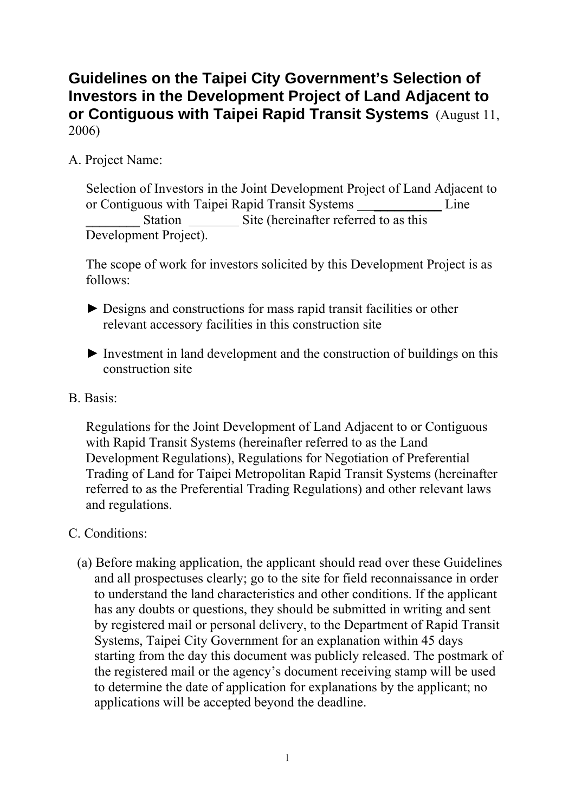## **Guidelines on the Taipei City Government's Selection of Investors in the Development Project of Land Adjacent to or Contiguous with Taipei Rapid Transit Systems** (August 11, 2006)

A. Project Name:

Selection of Investors in the Joint Development Project of Land Adjacent to or Contiguous with Taipei Rapid Transit Systems Line Station \_\_\_\_\_\_\_\_\_ Site (hereinafter referred to as this Development Project).

The scope of work for investors solicited by this Development Project is as follows:

- ► Designs and constructions for mass rapid transit facilities or other relevant accessory facilities in this construction site
- $\blacktriangleright$  Investment in land development and the construction of buildings on this construction site
- B. Basis:

Regulations for the Joint Development of Land Adjacent to or Contiguous with Rapid Transit Systems (hereinafter referred to as the Land Development Regulations), Regulations for Negotiation of Preferential Trading of Land for Taipei Metropolitan Rapid Transit Systems (hereinafter referred to as the Preferential Trading Regulations) and other relevant laws and regulations.

- C. Conditions:
	- (a) Before making application, the applicant should read over these Guidelines and all prospectuses clearly; go to the site for field reconnaissance in order to understand the land characteristics and other conditions. If the applicant has any doubts or questions, they should be submitted in writing and sent by registered mail or personal delivery, to the Department of Rapid Transit Systems, Taipei City Government for an explanation within 45 days starting from the day this document was publicly released. The postmark of the registered mail or the agency's document receiving stamp will be used to determine the date of application for explanations by the applicant; no applications will be accepted beyond the deadline.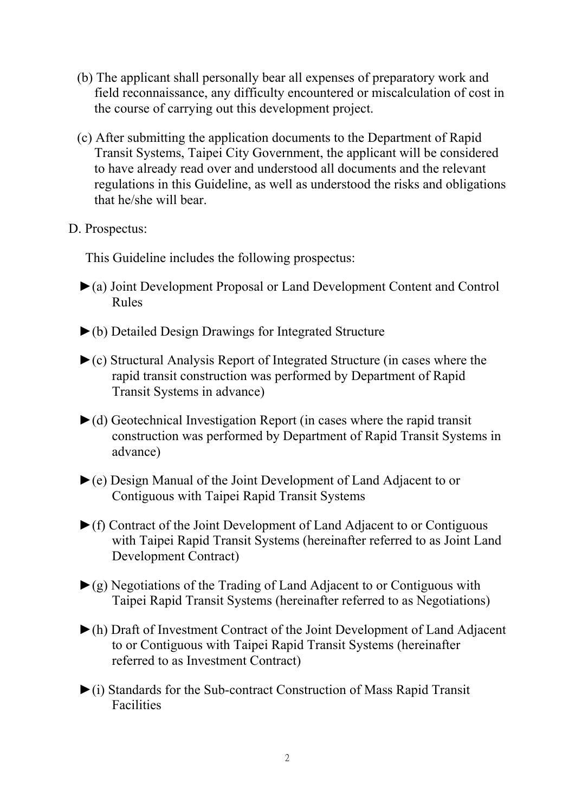- (b) The applicant shall personally bear all expenses of preparatory work and field reconnaissance, any difficulty encountered or miscalculation of cost in the course of carrying out this development project.
- (c) After submitting the application documents to the Department of Rapid Transit Systems, Taipei City Government, the applicant will be considered to have already read over and understood all documents and the relevant regulations in this Guideline, as well as understood the risks and obligations that he/she will bear.
- D. Prospectus:

This Guideline includes the following prospectus:

- ►(a) Joint Development Proposal or Land Development Content and Control Rules
- ►(b) Detailed Design Drawings for Integrated Structure
- ►(c) Structural Analysis Report of Integrated Structure (in cases where the rapid transit construction was performed by Department of Rapid Transit Systems in advance)
- $\blacktriangleright$ (d) Geotechnical Investigation Report (in cases where the rapid transit construction was performed by Department of Rapid Transit Systems in advance)
- ►(e) Design Manual of the Joint Development of Land Adjacent to or Contiguous with Taipei Rapid Transit Systems
- ►(f) Contract of the Joint Development of Land Adjacent to or Contiguous with Taipei Rapid Transit Systems (hereinafter referred to as Joint Land Development Contract)
- $\blacktriangleright$ (g) Negotiations of the Trading of Land Adjacent to or Contiguous with Taipei Rapid Transit Systems (hereinafter referred to as Negotiations)
- ►(h) Draft of Investment Contract of the Joint Development of Land Adjacent to or Contiguous with Taipei Rapid Transit Systems (hereinafter referred to as Investment Contract)
- ►(i) Standards for the Sub-contract Construction of Mass Rapid Transit Facilities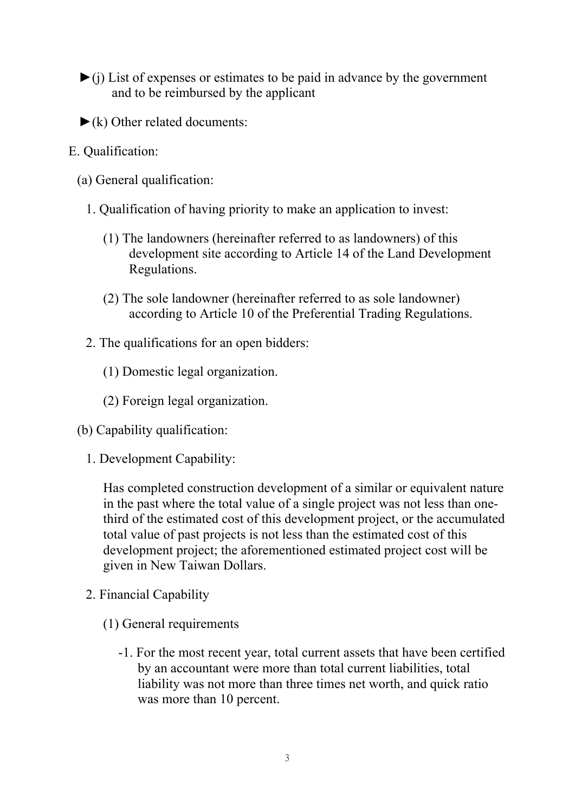- $\triangleright$ (j) List of expenses or estimates to be paid in advance by the government and to be reimbursed by the applicant
- $\blacktriangleright$  (k) Other related documents:
- E. Qualification:
	- (a) General qualification:
		- 1. Qualification of having priority to make an application to invest:
			- (1) The landowners (hereinafter referred to as landowners) of this development site according to Article 14 of the Land Development Regulations.
			- (2) The sole landowner (hereinafter referred to as sole landowner) according to Article 10 of the Preferential Trading Regulations.
		- 2. The qualifications for an open bidders:
			- (1) Domestic legal organization.
			- (2) Foreign legal organization.
	- (b) Capability qualification:
		- 1. Development Capability:

Has completed construction development of a similar or equivalent nature in the past where the total value of a single project was not less than onethird of the estimated cost of this development project, or the accumulated total value of past projects is not less than the estimated cost of this development project; the aforementioned estimated project cost will be given in New Taiwan Dollars.

- 2. Financial Capability
	- (1) General requirements
		- -1. For the most recent year, total current assets that have been certified by an accountant were more than total current liabilities, total liability was not more than three times net worth, and quick ratio was more than 10 percent.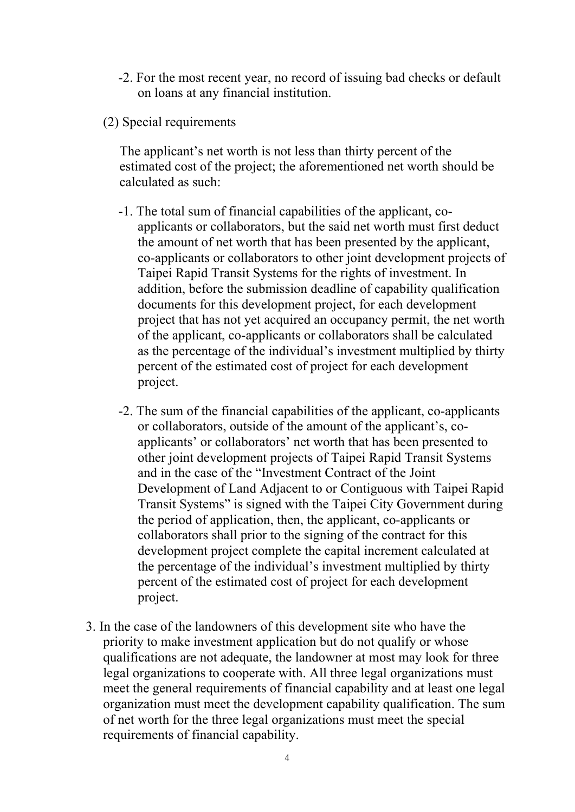- -2. For the most recent year, no record of issuing bad checks or default on loans at any financial institution.
- (2) Special requirements

The applicant's net worth is not less than thirty percent of the estimated cost of the project; the aforementioned net worth should be calculated as such:

- -1. The total sum of financial capabilities of the applicant, coapplicants or collaborators, but the said net worth must first deduct the amount of net worth that has been presented by the applicant, co-applicants or collaborators to other joint development projects of Taipei Rapid Transit Systems for the rights of investment. In addition, before the submission deadline of capability qualification documents for this development project, for each development project that has not yet acquired an occupancy permit, the net worth of the applicant, co-applicants or collaborators shall be calculated as the percentage of the individual's investment multiplied by thirty percent of the estimated cost of project for each development project.
- -2. The sum of the financial capabilities of the applicant, co-applicants or collaborators, outside of the amount of the applicant's, coapplicants' or collaborators' net worth that has been presented to other joint development projects of Taipei Rapid Transit Systems and in the case of the "Investment Contract of the Joint Development of Land Adjacent to or Contiguous with Taipei Rapid Transit Systems" is signed with the Taipei City Government during the period of application, then, the applicant, co-applicants or collaborators shall prior to the signing of the contract for this development project complete the capital increment calculated at the percentage of the individual's investment multiplied by thirty percent of the estimated cost of project for each development project.
- 3. In the case of the landowners of this development site who have the priority to make investment application but do not qualify or whose qualifications are not adequate, the landowner at most may look for three legal organizations to cooperate with. All three legal organizations must meet the general requirements of financial capability and at least one legal organization must meet the development capability qualification. The sum of net worth for the three legal organizations must meet the special requirements of financial capability.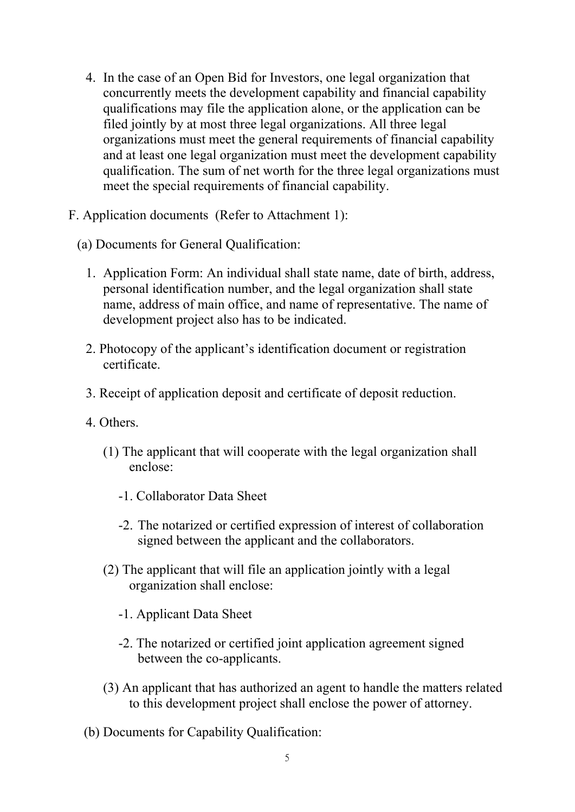- 4. In the case of an Open Bid for Investors, one legal organization that concurrently meets the development capability and financial capability qualifications may file the application alone, or the application can be filed jointly by at most three legal organizations. All three legal organizations must meet the general requirements of financial capability and at least one legal organization must meet the development capability qualification. The sum of net worth for the three legal organizations must meet the special requirements of financial capability.
- F. Application documents (Refer to Attachment 1):
	- (a) Documents for General Qualification:
		- 1. Application Form: An individual shall state name, date of birth, address, personal identification number, and the legal organization shall state name, address of main office, and name of representative. The name of development project also has to be indicated.
		- 2. Photocopy of the applicant's identification document or registration certificate.
		- 3. Receipt of application deposit and certificate of deposit reduction.
		- 4. Others.
			- (1) The applicant that will cooperate with the legal organization shall enclose:
				- -1. Collaborator Data Sheet
				- -2. The notarized or certified expression of interest of collaboration signed between the applicant and the collaborators.
			- (2) The applicant that will file an application jointly with a legal organization shall enclose:
				- -1. Applicant Data Sheet
				- -2. The notarized or certified joint application agreement signed between the co-applicants.
			- (3) An applicant that has authorized an agent to handle the matters related to this development project shall enclose the power of attorney.
		- (b) Documents for Capability Qualification: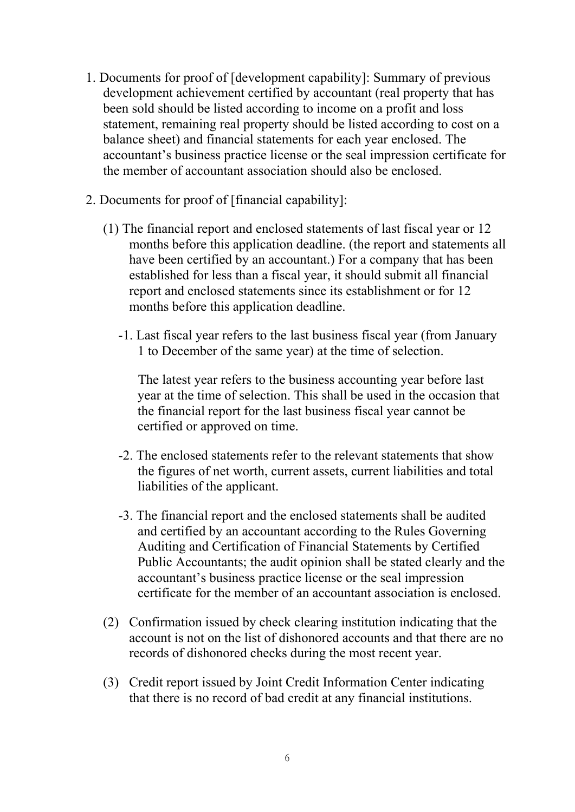- 1. Documents for proof of [development capability]: Summary of previous development achievement certified by accountant (real property that has been sold should be listed according to income on a profit and loss statement, remaining real property should be listed according to cost on a balance sheet) and financial statements for each year enclosed. The accountant's business practice license or the seal impression certificate for the member of accountant association should also be enclosed.
- 2. Documents for proof of [financial capability]:
	- (1) The financial report and enclosed statements of last fiscal year or 12 months before this application deadline. (the report and statements all have been certified by an accountant.) For a company that has been established for less than a fiscal year, it should submit all financial report and enclosed statements since its establishment or for 12 months before this application deadline.
		- -1. Last fiscal year refers to the last business fiscal year (from January 1 to December of the same year) at the time of selection.

The latest year refers to the business accounting year before last year at the time of selection. This shall be used in the occasion that the financial report for the last business fiscal year cannot be certified or approved on time.

- -2. The enclosed statements refer to the relevant statements that show the figures of net worth, current assets, current liabilities and total liabilities of the applicant.
- -3. The financial report and the enclosed statements shall be audited and certified by an accountant according to the Rules Governing Auditing and Certification of Financial Statements by Certified Public Accountants; the audit opinion shall be stated clearly and the accountant's business practice license or the seal impression certificate for the member of an accountant association is enclosed.
- (2) Confirmation issued by check clearing institution indicating that the account is not on the list of dishonored accounts and that there are no records of dishonored checks during the most recent year.
- (3) Credit report issued by Joint Credit Information Center indicating that there is no record of bad credit at any financial institutions.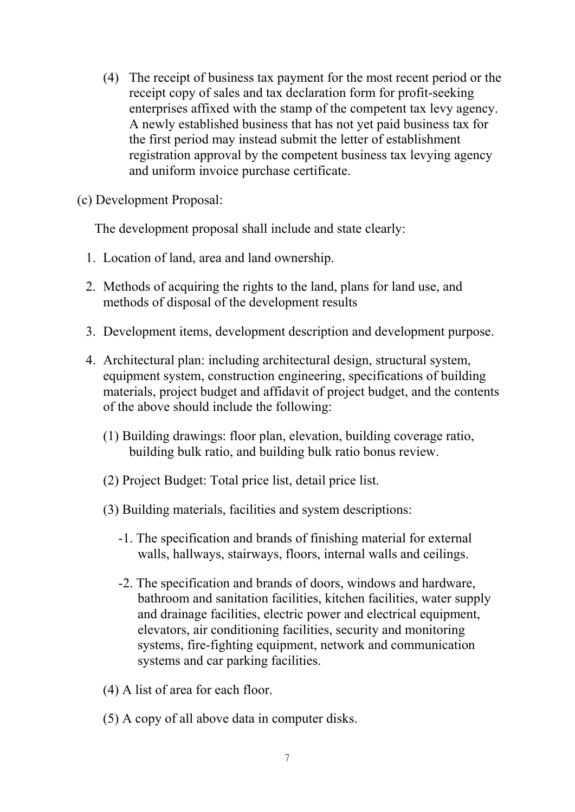- (4) The receipt of business tax payment for the most recent period or the receipt copy of sales and tax declaration form for profit-seeking enterprises affixed with the stamp of the competent tax levy agency. A newly established business that has not yet paid business tax for the first period may instead submit the letter of establishment registration approval by the competent business tax levying agency and uniform invoice purchase certificate.
- (c) Development Proposal:

The development proposal shall include and state clearly:

- 1. Location of land, area and land ownership.
- 2. Methods of acquiring the rights to the land, plans for land use, and methods of disposal of the development results
- 3. Development items, development description and development purpose.
- 4. Architectural plan: including architectural design, structural system, equipment system, construction engineering, specifications of building materials, project budget and affidavit of project budget, and the contents of the above should include the following:
	- (1) Building drawings: floor plan, elevation, building coverage ratio, building bulk ratio, and building bulk ratio bonus review.
	- (2) Project Budget: Total price list, detail price list.
	- (3) Building materials, facilities and system descriptions:
		- -1. The specification and brands of finishing material for external walls, hallways, stairways, floors, internal walls and ceilings.
		- -2. The specification and brands of doors, windows and hardware, bathroom and sanitation facilities, kitchen facilities, water supply and drainage facilities, electric power and electrical equipment, elevators, air conditioning facilities, security and monitoring systems, fire-fighting equipment, network and communication systems and car parking facilities.
	- (4) A list of area for each floor.
	- (5) A copy of all above data in computer disks.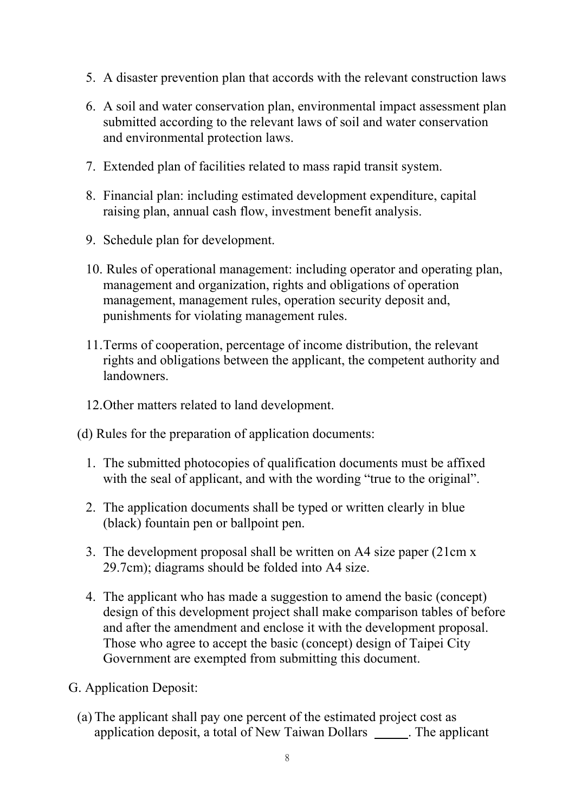- 5. A disaster prevention plan that accords with the relevant construction laws
- 6. A soil and water conservation plan, environmental impact assessment plan submitted according to the relevant laws of soil and water conservation and environmental protection laws.
- 7. Extended plan of facilities related to mass rapid transit system.
- 8. Financial plan: including estimated development expenditure, capital raising plan, annual cash flow, investment benefit analysis.
- 9. Schedule plan for development.
- 10. Rules of operational management: including operator and operating plan, management and organization, rights and obligations of operation management, management rules, operation security deposit and, punishments for violating management rules.
- 11. Terms of cooperation, percentage of income distribution, the relevant rights and obligations between the applicant, the competent authority and landowners.
- 12. Other matters related to land development.
- (d) Rules for the preparation of application documents:
	- 1. The submitted photocopies of qualification documents must be affixed with the seal of applicant, and with the wording "true to the original".
	- 2. The application documents shall be typed or written clearly in blue (black) fountain pen or ballpoint pen.
	- 3. The development proposal shall be written on A4 size paper (21cm x 29.7cm); diagrams should be folded into A4 size.
	- 4. The applicant who has made a suggestion to amend the basic (concept) design of this development project shall make comparison tables of before and after the amendment and enclose it with the development proposal. Those who agree to accept the basic (concept) design of Taipei City Government are exempted from submitting this document.
- G. Application Deposit:
	- (a) The applicant shall pay one percent of the estimated project cost as application deposit, a total of New Taiwan Dollars . The applicant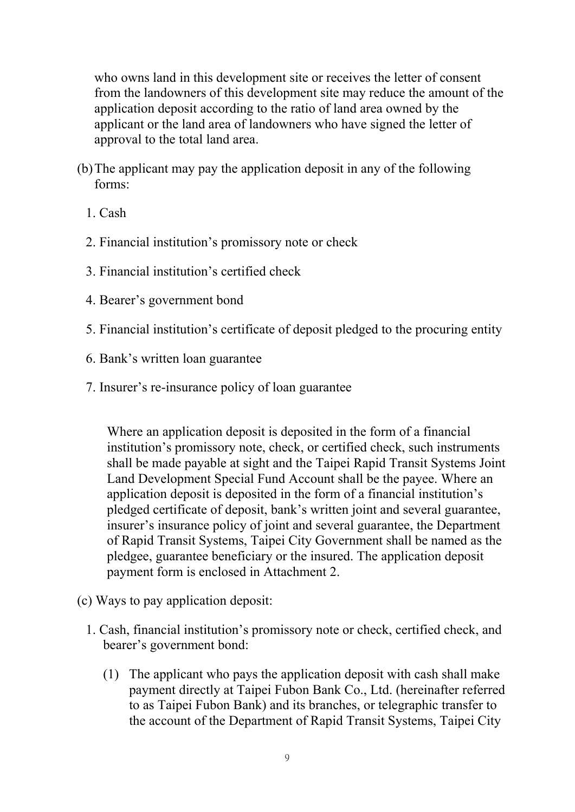who owns land in this development site or receives the letter of consent from the landowners of this development site may reduce the amount of the application deposit according to the ratio of land area owned by the applicant or the land area of landowners who have signed the letter of approval to the total land area.

- (b) The applicant may pay the application deposit in any of the following forms:
	- 1. Cash
	- 2. Financial institution's promissory note or check
	- 3. Financial institution's certified check
	- 4. Bearer's government bond
	- 5. Financial institution's certificate of deposit pledged to the procuring entity
	- 6. Bank's written loan guarantee
	- 7. Insurer's re-insurance policy of loan guarantee

Where an application deposit is deposited in the form of a financial institution's promissory note, check, or certified check, such instruments shall be made payable at sight and the Taipei Rapid Transit Systems Joint Land Development Special Fund Account shall be the payee. Where an application deposit is deposited in the form of a financial institution's pledged certificate of deposit, bank's written joint and several guarantee, insurer's insurance policy of joint and several guarantee, the Department of Rapid Transit Systems, Taipei City Government shall be named as the pledgee, guarantee beneficiary or the insured. The application deposit payment form is enclosed in Attachment 2.

- (c) Ways to pay application deposit:
	- 1. Cash, financial institution's promissory note or check, certified check, and bearer's government bond:
		- (1) The applicant who pays the application deposit with cash shall make payment directly at Taipei Fubon Bank Co., Ltd. (hereinafter referred to as Taipei Fubon Bank) and its branches, or telegraphic transfer to the account of the Department of Rapid Transit Systems, Taipei City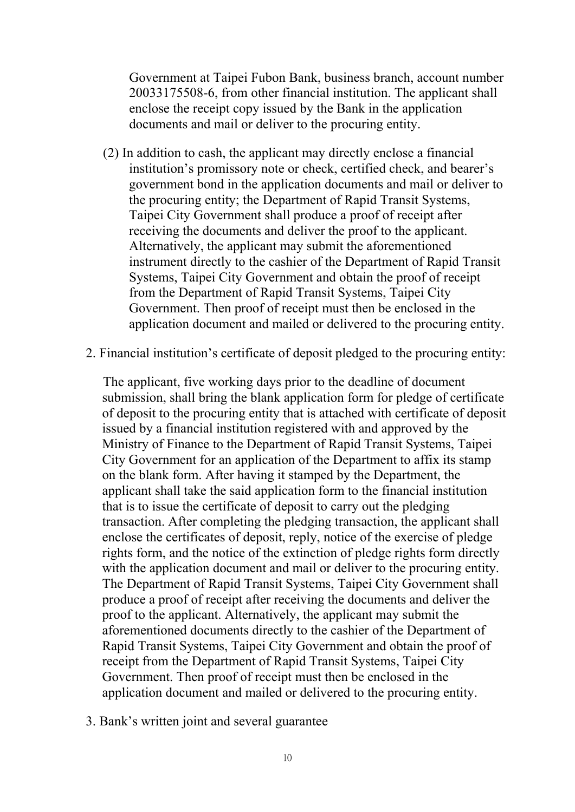Government at Taipei Fubon Bank, business branch, account number 20033175508-6, from other financial institution. The applicant shall enclose the receipt copy issued by the Bank in the application documents and mail or deliver to the procuring entity.

- (2) In addition to cash, the applicant may directly enclose a financial institution's promissory note or check, certified check, and bearer's government bond in the application documents and mail or deliver to the procuring entity; the Department of Rapid Transit Systems, Taipei City Government shall produce a proof of receipt after receiving the documents and deliver the proof to the applicant. Alternatively, the applicant may submit the aforementioned instrument directly to the cashier of the Department of Rapid Transit Systems, Taipei City Government and obtain the proof of receipt from the Department of Rapid Transit Systems, Taipei City Government. Then proof of receipt must then be enclosed in the application document and mailed or delivered to the procuring entity.
- 2. Financial institution's certificate of deposit pledged to the procuring entity:

The applicant, five working days prior to the deadline of document submission, shall bring the blank application form for pledge of certificate of deposit to the procuring entity that is attached with certificate of deposit issued by a financial institution registered with and approved by the Ministry of Finance to the Department of Rapid Transit Systems, Taipei City Government for an application of the Department to affix its stamp on the blank form. After having it stamped by the Department, the applicant shall take the said application form to the financial institution that is to issue the certificate of deposit to carry out the pledging transaction. After completing the pledging transaction, the applicant shall enclose the certificates of deposit, reply, notice of the exercise of pledge rights form, and the notice of the extinction of pledge rights form directly with the application document and mail or deliver to the procuring entity. The Department of Rapid Transit Systems, Taipei City Government shall produce a proof of receipt after receiving the documents and deliver the proof to the applicant. Alternatively, the applicant may submit the aforementioned documents directly to the cashier of the Department of Rapid Transit Systems, Taipei City Government and obtain the proof of receipt from the Department of Rapid Transit Systems, Taipei City Government. Then proof of receipt must then be enclosed in the application document and mailed or delivered to the procuring entity.

3. Bank's written joint and several guarantee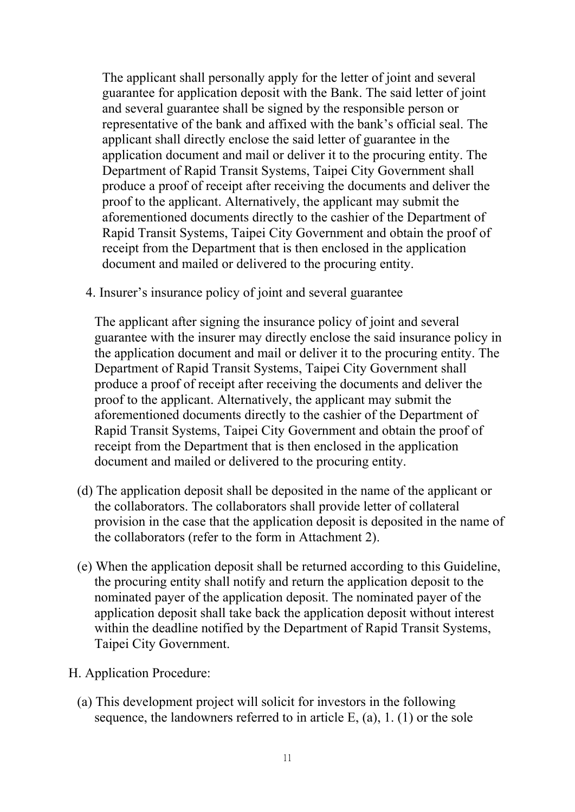The applicant shall personally apply for the letter of joint and several guarantee for application deposit with the Bank. The said letter of joint and several guarantee shall be signed by the responsible person or representative of the bank and affixed with the bank's official seal. The applicant shall directly enclose the said letter of guarantee in the application document and mail or deliver it to the procuring entity. The Department of Rapid Transit Systems, Taipei City Government shall produce a proof of receipt after receiving the documents and deliver the proof to the applicant. Alternatively, the applicant may submit the aforementioned documents directly to the cashier of the Department of Rapid Transit Systems, Taipei City Government and obtain the proof of receipt from the Department that is then enclosed in the application document and mailed or delivered to the procuring entity.

4. Insurer's insurance policy of joint and several guarantee

The applicant after signing the insurance policy of joint and several guarantee with the insurer may directly enclose the said insurance policy in the application document and mail or deliver it to the procuring entity. The Department of Rapid Transit Systems, Taipei City Government shall produce a proof of receipt after receiving the documents and deliver the proof to the applicant. Alternatively, the applicant may submit the aforementioned documents directly to the cashier of the Department of Rapid Transit Systems, Taipei City Government and obtain the proof of receipt from the Department that is then enclosed in the application document and mailed or delivered to the procuring entity.

- (d) The application deposit shall be deposited in the name of the applicant or the collaborators. The collaborators shall provide letter of collateral provision in the case that the application deposit is deposited in the name of the collaborators (refer to the form in Attachment 2).
- (e) When the application deposit shall be returned according to this Guideline, the procuring entity shall notify and return the application deposit to the nominated payer of the application deposit. The nominated payer of the application deposit shall take back the application deposit without interest within the deadline notified by the Department of Rapid Transit Systems, Taipei City Government.
- H. Application Procedure:
	- (a) This development project will solicit for investors in the following sequence, the landowners referred to in article  $E<sub>z</sub>$  (a), 1. (1) or the sole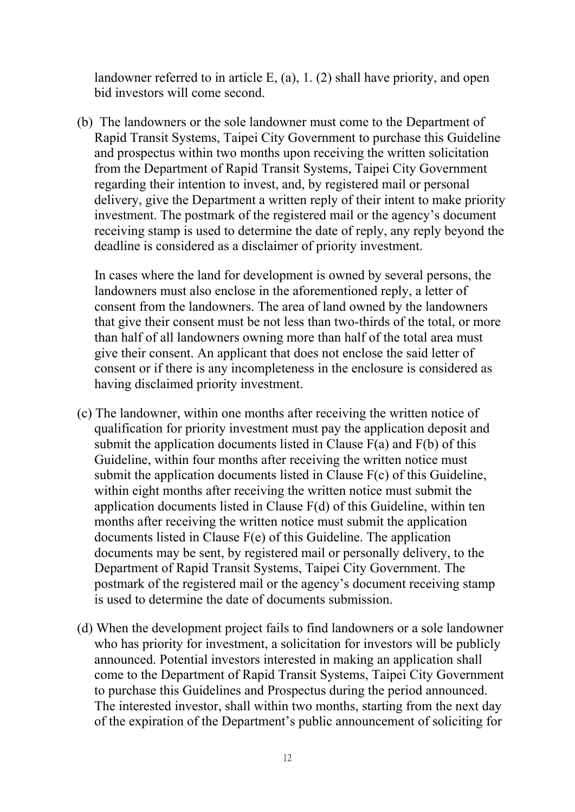landowner referred to in article E, (a), 1. (2) shall have priority, and open bid investors will come second.

(b) The landowners or the sole landowner must come to the Department of Rapid Transit Systems, Taipei City Government to purchase this Guideline and prospectus within two months upon receiving the written solicitation from the Department of Rapid Transit Systems, Taipei City Government regarding their intention to invest, and, by registered mail or personal delivery, give the Department a written reply of their intent to make priority investment. The postmark of the registered mail or the agency's document receiving stamp is used to determine the date of reply, any reply beyond the deadline is considered as a disclaimer of priority investment.

In cases where the land for development is owned by several persons, the landowners must also enclose in the aforementioned reply, a letter of consent from the landowners. The area of land owned by the landowners that give their consent must be not less than two-thirds of the total, or more than half of all landowners owning more than half of the total area must give their consent. An applicant that does not enclose the said letter of consent or if there is any incompleteness in the enclosure is considered as having disclaimed priority investment.

- (c) The landowner, within one months after receiving the written notice of qualification for priority investment must pay the application deposit and submit the application documents listed in Clause  $F(a)$  and  $F(b)$  of this Guideline, within four months after receiving the written notice must submit the application documents listed in Clause F(c) of this Guideline, within eight months after receiving the written notice must submit the application documents listed in Clause F(d) of this Guideline, within ten months after receiving the written notice must submit the application documents listed in Clause F(e) of this Guideline. The application documents may be sent, by registered mail or personally delivery, to the Department of Rapid Transit Systems, Taipei City Government. The postmark of the registered mail or the agency's document receiving stamp is used to determine the date of documents submission.
- (d) When the development project fails to find landowners or a sole landowner who has priority for investment, a solicitation for investors will be publicly announced. Potential investors interested in making an application shall come to the Department of Rapid Transit Systems, Taipei City Government to purchase this Guidelines and Prospectus during the period announced. The interested investor, shall within two months, starting from the next day of the expiration of the Department's public announcement of soliciting for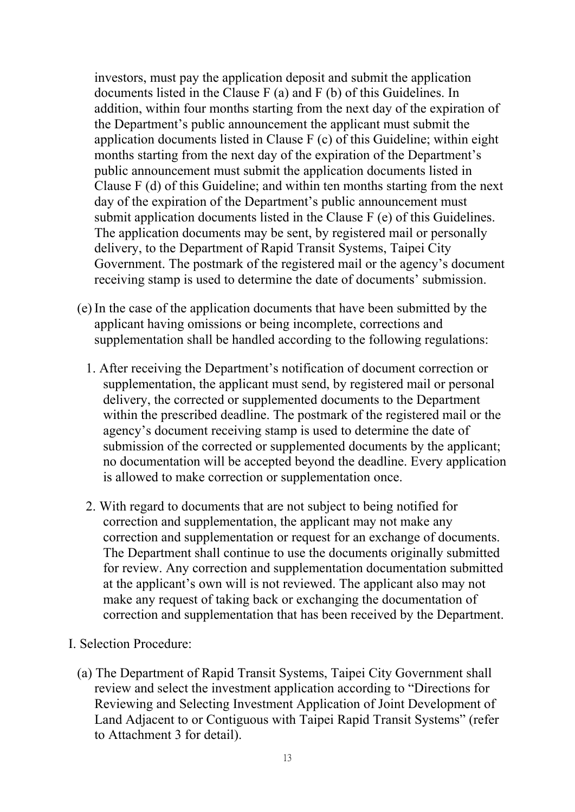investors, must pay the application deposit and submit the application documents listed in the Clause F (a) and F (b) of this Guidelines. In addition, within four months starting from the next day of the expiration of the Department's public announcement the applicant must submit the application documents listed in Clause F (c) of this Guideline; within eight months starting from the next day of the expiration of the Department's public announcement must submit the application documents listed in Clause F (d) of this Guideline; and within ten months starting from the next day of the expiration of the Department's public announcement must submit application documents listed in the Clause F (e) of this Guidelines. The application documents may be sent, by registered mail or personally delivery, to the Department of Rapid Transit Systems, Taipei City Government. The postmark of the registered mail or the agency's document receiving stamp is used to determine the date of documents' submission.

- (e) In the case of the application documents that have been submitted by the applicant having omissions or being incomplete, corrections and supplementation shall be handled according to the following regulations:
	- 1. After receiving the Department's notification of document correction or supplementation, the applicant must send, by registered mail or personal delivery, the corrected or supplemented documents to the Department within the prescribed deadline. The postmark of the registered mail or the agency's document receiving stamp is used to determine the date of submission of the corrected or supplemented documents by the applicant; no documentation will be accepted beyond the deadline. Every application is allowed to make correction or supplementation once.
	- 2. With regard to documents that are not subject to being notified for correction and supplementation, the applicant may not make any correction and supplementation or request for an exchange of documents. The Department shall continue to use the documents originally submitted for review. Any correction and supplementation documentation submitted at the applicant's own will is not reviewed. The applicant also may not make any request of taking back or exchanging the documentation of correction and supplementation that has been received by the Department.
- I. Selection Procedure:
	- (a) The Department of Rapid Transit Systems, Taipei City Government shall review and select the investment application according to "Directions for Reviewing and Selecting Investment Application of Joint Development of Land Adjacent to or Contiguous with Taipei Rapid Transit Systems" (refer to Attachment 3 for detail).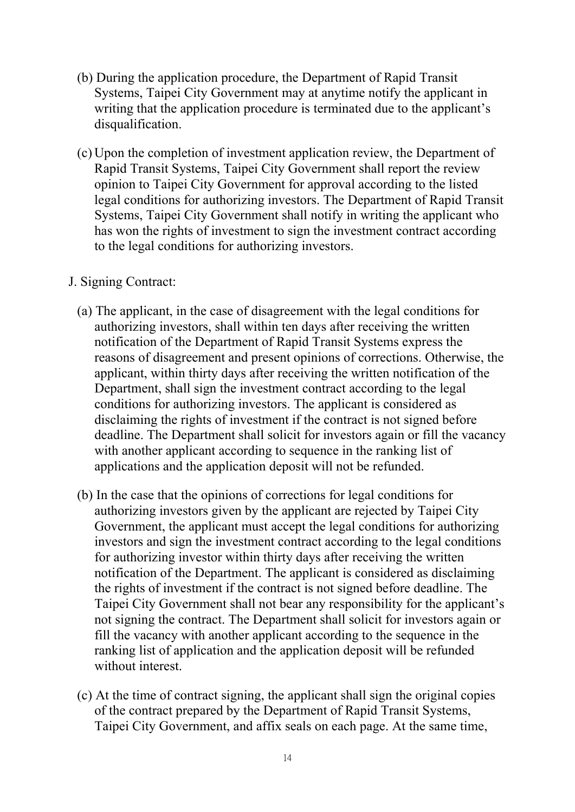- (b) During the application procedure, the Department of Rapid Transit Systems, Taipei City Government may at anytime notify the applicant in writing that the application procedure is terminated due to the applicant's disqualification.
- (c) Upon the completion of investment application review, the Department of Rapid Transit Systems, Taipei City Government shall report the review opinion to Taipei City Government for approval according to the listed legal conditions for authorizing investors. The Department of Rapid Transit Systems, Taipei City Government shall notify in writing the applicant who has won the rights of investment to sign the investment contract according to the legal conditions for authorizing investors.
- J. Signing Contract:
	- (a) The applicant, in the case of disagreement with the legal conditions for authorizing investors, shall within ten days after receiving the written notification of the Department of Rapid Transit Systems express the reasons of disagreement and present opinions of corrections. Otherwise, the applicant, within thirty days after receiving the written notification of the Department, shall sign the investment contract according to the legal conditions for authorizing investors. The applicant is considered as disclaiming the rights of investment if the contract is not signed before deadline. The Department shall solicit for investors again or fill the vacancy with another applicant according to sequence in the ranking list of applications and the application deposit will not be refunded.
	- (b) In the case that the opinions of corrections for legal conditions for authorizing investors given by the applicant are rejected by Taipei City Government, the applicant must accept the legal conditions for authorizing investors and sign the investment contract according to the legal conditions for authorizing investor within thirty days after receiving the written notification of the Department. The applicant is considered as disclaiming the rights of investment if the contract is not signed before deadline. The Taipei City Government shall not bear any responsibility for the applicant's not signing the contract. The Department shall solicit for investors again or fill the vacancy with another applicant according to the sequence in the ranking list of application and the application deposit will be refunded without interest.
	- (c) At the time of contract signing, the applicant shall sign the original copies of the contract prepared by the Department of Rapid Transit Systems, Taipei City Government, and affix seals on each page. At the same time,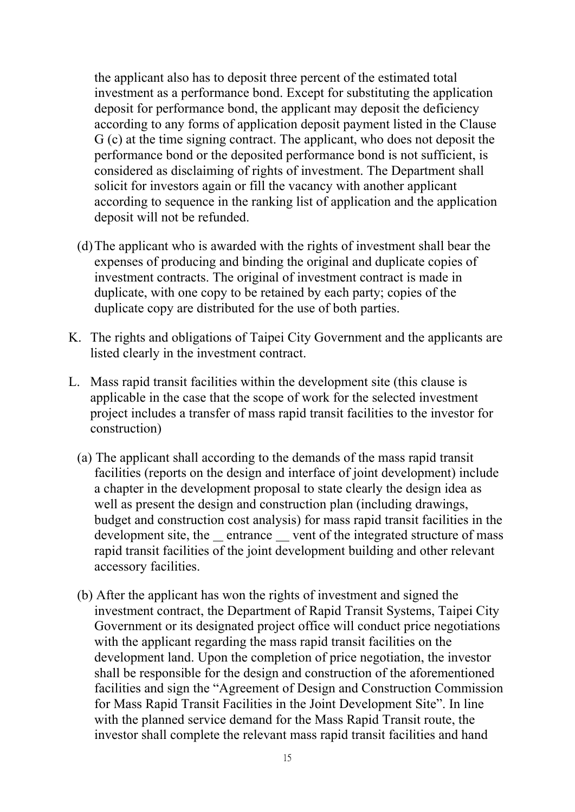the applicant also has to deposit three percent of the estimated total investment as a performance bond. Except for substituting the application deposit for performance bond, the applicant may deposit the deficiency according to any forms of application deposit payment listed in the Clause G (c) at the time signing contract. The applicant, who does not deposit the performance bond or the deposited performance bond is not sufficient, is considered as disclaiming of rights of investment. The Department shall solicit for investors again or fill the vacancy with another applicant according to sequence in the ranking list of application and the application deposit will not be refunded.

- (d) The applicant who is awarded with the rights of investment shall bear the expenses of producing and binding the original and duplicate copies of investment contracts. The original of investment contract is made in duplicate, with one copy to be retained by each party; copies of the duplicate copy are distributed for the use of both parties.
- K. The rights and obligations of Taipei City Government and the applicants are listed clearly in the investment contract.
- L. Mass rapid transit facilities within the development site (this clause is applicable in the case that the scope of work for the selected investment project includes a transfer of mass rapid transit facilities to the investor for construction)
	- (a) The applicant shall according to the demands of the mass rapid transit facilities (reports on the design and interface of joint development) include a chapter in the development proposal to state clearly the design idea as well as present the design and construction plan (including drawings, budget and construction cost analysis) for mass rapid transit facilities in the development site, the entrance vent of the integrated structure of mass rapid transit facilities of the joint development building and other relevant accessory facilities.
	- (b) After the applicant has won the rights of investment and signed the investment contract, the Department of Rapid Transit Systems, Taipei City Government or its designated project office will conduct price negotiations with the applicant regarding the mass rapid transit facilities on the development land. Upon the completion of price negotiation, the investor shall be responsible for the design and construction of the aforementioned facilities and sign the "Agreement of Design and Construction Commission for Mass Rapid Transit Facilities in the Joint Development Site". In line with the planned service demand for the Mass Rapid Transit route, the investor shall complete the relevant mass rapid transit facilities and hand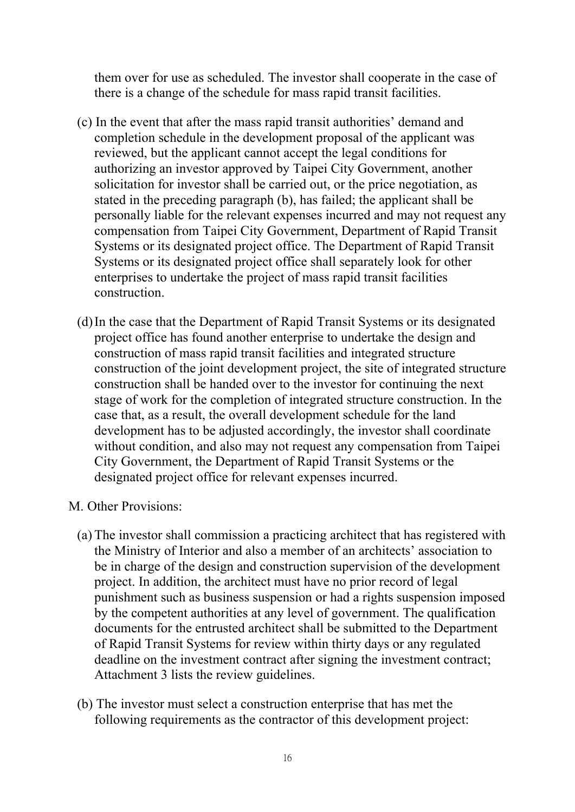them over for use as scheduled. The investor shall cooperate in the case of there is a change of the schedule for mass rapid transit facilities.

- (c) In the event that after the mass rapid transit authorities' demand and completion schedule in the development proposal of the applicant was reviewed, but the applicant cannot accept the legal conditions for authorizing an investor approved by Taipei City Government, another solicitation for investor shall be carried out, or the price negotiation, as stated in the preceding paragraph (b), has failed; the applicant shall be personally liable for the relevant expenses incurred and may not request any compensation from Taipei City Government, Department of Rapid Transit Systems or its designated project office. The Department of Rapid Transit Systems or its designated project office shall separately look for other enterprises to undertake the project of mass rapid transit facilities construction.
- (d) In the case that the Department of Rapid Transit Systems or its designated project office has found another enterprise to undertake the design and construction of mass rapid transit facilities and integrated structure construction of the joint development project, the site of integrated structure construction shall be handed over to the investor for continuing the next stage of work for the completion of integrated structure construction. In the case that, as a result, the overall development schedule for the land development has to be adjusted accordingly, the investor shall coordinate without condition, and also may not request any compensation from Taipei City Government, the Department of Rapid Transit Systems or the designated project office for relevant expenses incurred.
- M. Other Provisions:
	- (a) The investor shall commission a practicing architect that has registered with the Ministry of Interior and also a member of an architects' association to be in charge of the design and construction supervision of the development project. In addition, the architect must have no prior record of legal punishment such as business suspension or had a rights suspension imposed by the competent authorities at any level of government. The qualification documents for the entrusted architect shall be submitted to the Department of Rapid Transit Systems for review within thirty days or any regulated deadline on the investment contract after signing the investment contract; Attachment 3 lists the review guidelines.
	- (b) The investor must select a construction enterprise that has met the following requirements as the contractor of this development project: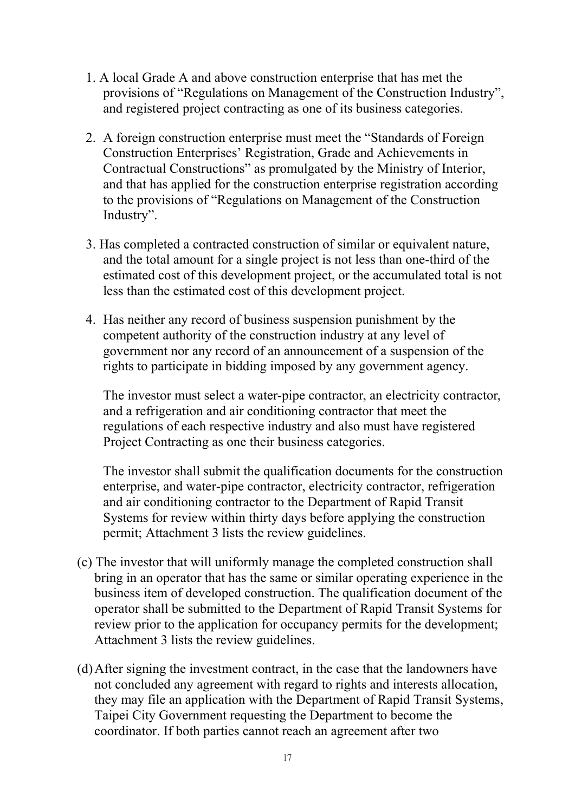- 1. A local Grade A and above construction enterprise that has met the provisions of "Regulations on Management of the Construction Industry", and registered project contracting as one of its business categories.
- 2. A foreign construction enterprise must meet the "Standards of Foreign Construction Enterprises' Registration, Grade and Achievements in Contractual Constructions" as promulgated by the Ministry of Interior, and that has applied for the construction enterprise registration according to the provisions of "Regulations on Management of the Construction Industry".
- 3. Has completed a contracted construction of similar or equivalent nature, and the total amount for a single project is not less than one-third of the estimated cost of this development project, or the accumulated total is not less than the estimated cost of this development project.
- 4. Has neither any record of business suspension punishment by the competent authority of the construction industry at any level of government nor any record of an announcement of a suspension of the rights to participate in bidding imposed by any government agency.

The investor must select a water-pipe contractor, an electricity contractor, and a refrigeration and air conditioning contractor that meet the regulations of each respective industry and also must have registered Project Contracting as one their business categories.

The investor shall submit the qualification documents for the construction enterprise, and water-pipe contractor, electricity contractor, refrigeration and air conditioning contractor to the Department of Rapid Transit Systems for review within thirty days before applying the construction permit; Attachment 3 lists the review guidelines.

- (c) The investor that will uniformly manage the completed construction shall bring in an operator that has the same or similar operating experience in the business item of developed construction. The qualification document of the operator shall be submitted to the Department of Rapid Transit Systems for review prior to the application for occupancy permits for the development; Attachment 3 lists the review guidelines.
- (d) After signing the investment contract, in the case that the landowners have not concluded any agreement with regard to rights and interests allocation, they may file an application with the Department of Rapid Transit Systems, Taipei City Government requesting the Department to become the coordinator. If both parties cannot reach an agreement after two